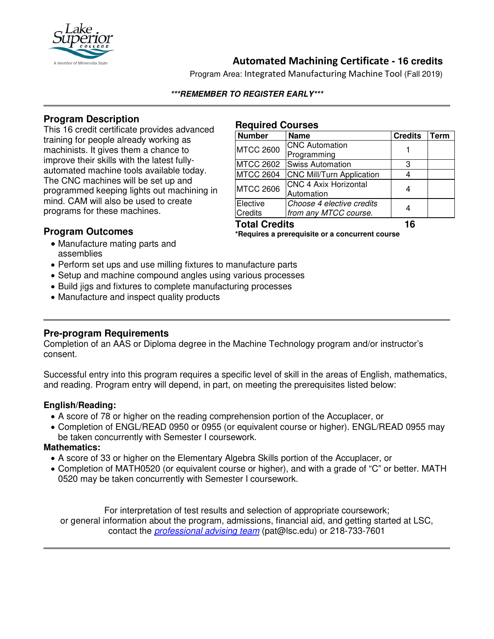

# **Automated Machining Certificate - 16 credits**

Program Area: Integrated Manufacturing Machine Tool (Fall 2019)

### **\*\*\*REMEMBER TO REGISTER EARLY\*\*\***

## **Program Description**

This 16 credit certificate provides advanced training for people already working as machinists. It gives them a chance to improve their skills with the latest fullyautomated machine tools available today. The CNC machines will be set up and programmed keeping lights out machining in mind. CAM will also be used to create programs for these machines.

#### **Required Courses**

| <b>Number</b>        | <b>Name</b>                      | <b>Credits</b> | Term |
|----------------------|----------------------------------|----------------|------|
| <b>MTCC 2600</b>     | <b>CNC Automation</b>            |                |      |
|                      | Programming                      |                |      |
| <b>MTCC 2602</b>     | <b>Swiss Automation</b>          | 3              |      |
| <b>MTCC 2604</b>     | <b>CNC Mill/Turn Application</b> |                |      |
| <b>MTCC 2606</b>     | <b>CNC 4 Axix Horizontal</b>     |                |      |
|                      | Automation                       |                |      |
| Elective             | Choose 4 elective credits        |                |      |
| <b>Credits</b>       | from any MTCC course.            |                |      |
| <b>Total Credits</b> |                                  | 16             |      |

## **Program Outcomes**

**\*Requires a prerequisite or a concurrent course**

- Manufacture mating parts and assemblies
- Perform set ups and use milling fixtures to manufacture parts
- Setup and machine compound angles using various processes
- Build jigs and fixtures to complete manufacturing processes
- Manufacture and inspect quality products

## **Pre-program Requirements**

Completion of an AAS or Diploma degree in the Machine Technology program and/or instructor's consent.

Successful entry into this program requires a specific level of skill in the areas of English, mathematics, and reading. Program entry will depend, in part, on meeting the prerequisites listed below:

## **English/Reading:**

- A score of 78 or higher on the reading comprehension portion of the Accuplacer, or
- Completion of ENGL/READ 0950 or 0955 (or equivalent course or higher). ENGL/READ 0955 may be taken concurrently with Semester I coursework.

## **Mathematics:**

- A score of 33 or higher on the Elementary Algebra Skills portion of the Accuplacer, or
- Completion of MATH0520 (or equivalent course or higher), and with a grade of "C" or better. MATH 0520 may be taken concurrently with Semester I coursework.

For interpretation of test results and selection of appropriate coursework; or general information about the program, admissions, financial aid, and getting started at LSC, contact the *[professional advising team](mailto:pat@lsc.edu)* (pat@lsc.edu) or 218-733-7601